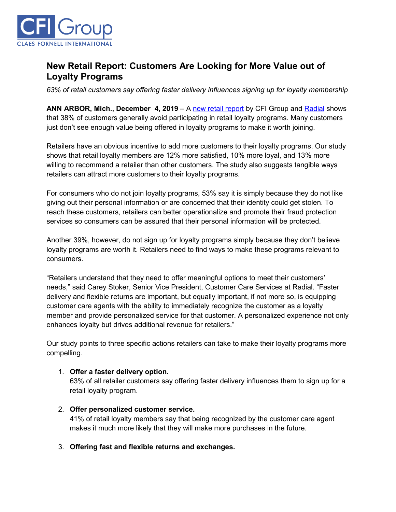

# **New Retail Report: Customers Are Looking for More Value out of Loyalty Programs**

*63% of retail customers say offering faster delivery influences signing up for loyalty membership*

**ANN ARBOR, Mich., December 4, 2019** – A [new retail report](https://cfigroup.com/resource-item/retail-report-dec-2019/) by CFI Group and [Radial](https://radial.com/?utm_campaign=aug2019&utm_source=release&utm_content=top) shows that 38% of customers generally avoid participating in retail loyalty programs. Many customers just don't see enough value being offered in loyalty programs to make it worth joining.

Retailers have an obvious incentive to add more customers to their loyalty programs. Our study shows that retail loyalty members are 12% more satisfied, 10% more loyal, and 13% more willing to recommend a retailer than other customers. The study also suggests tangible ways retailers can attract more customers to their loyalty programs.

For consumers who do not join loyalty programs, 53% say it is simply because they do not like giving out their personal information or are concerned that their identity could get stolen. To reach these customers, retailers can better operationalize and promote their fraud protection services so consumers can be assured that their personal information will be protected.

Another 39%, however, do not sign up for loyalty programs simply because they don't believe loyalty programs are worth it. Retailers need to find ways to make these programs relevant to consumers.

"Retailers understand that they need to offer meaningful options to meet their customers' needs," said Carey Stoker, Senior Vice President, Customer Care Services at Radial. "Faster delivery and flexible returns are important, but equally important, if not more so, is equipping customer care agents with the ability to immediately recognize the customer as a loyalty member and provide personalized service for that customer. A personalized experience not only enhances loyalty but drives additional revenue for retailers."

Our study points to three specific actions retailers can take to make their loyalty programs more compelling.

### 1. **Offer a faster delivery option.**

63% of all retailer customers say offering faster delivery influences them to sign up for a retail loyalty program.

#### 2. **Offer personalized customer service.**

41% of retail loyalty members say that being recognized by the customer care agent makes it much more likely that they will make more purchases in the future.

### 3. **Offering fast and flexible returns and exchanges.**